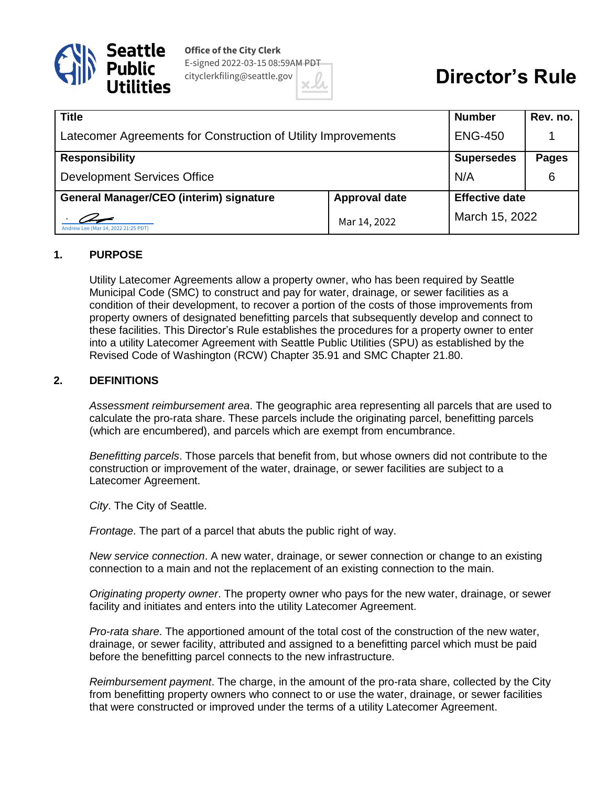

**Office of the City Clerk** E-signed 2022-03-15 08:59AM PDT cityclerkfiling@seattle.gov

# **Director's Rule**

| <b>Title</b>                                                  |                      | <b>Number</b>         | Rev. no.     |
|---------------------------------------------------------------|----------------------|-----------------------|--------------|
| Latecomer Agreements for Construction of Utility Improvements |                      | <b>ENG-450</b>        |              |
| <b>Responsibility</b>                                         |                      | <b>Supersedes</b>     | <b>Pages</b> |
| <b>Development Services Office</b>                            |                      | N/A                   | 6            |
| <b>General Manager/CEO (interim) signature</b>                | <b>Approval date</b> | <b>Effective date</b> |              |
| Andrew Lee (Mar 14, 2022 21:25 PDT)                           | Mar 14, 2022         | March 15, 2022        |              |

#### **1. PURPOSE**

Utility Latecomer Agreements allow a property owner, who has been required by Seattle Municipal Code (SMC) to construct and pay for water, drainage, or sewer facilities as a condition of their development, to recover a portion of the costs of those improvements from property owners of designated benefitting parcels that subsequently develop and connect to these facilities. This Director's Rule establishes the procedures for a property owner to enter into a utility Latecomer Agreement with Seattle Public Utilities (SPU) as established by the Revised Code of Washington (RCW) Chapter 35.91 and SMC Chapter 21.80.

#### **2. DEFINITIONS**

*Assessment reimbursement area*. The geographic area representing all parcels that are used to calculate the pro-rata share. These parcels include the originating parcel, benefitting parcels (which are encumbered), and parcels which are exempt from encumbrance.

*Benefitting parcels*. Those parcels that benefit from, but whose owners did not contribute to the construction or improvement of the water, drainage, or sewer facilities are subject to a Latecomer Agreement.

*City*. The City of Seattle.

*Frontage*. The part of a parcel that abuts the public right of way.

*New service connection*. A new water, drainage, or sewer connection or change to an existing connection to a main and not the replacement of an existing connection to the main.

*Originating property owner*. The property owner who pays for the new water, drainage, or sewer facility and initiates and enters into the utility Latecomer Agreement.

*Pro-rata share*. The apportioned amount of the total cost of the construction of the new water, drainage, or sewer facility, attributed and assigned to a benefitting parcel which must be paid before the benefitting parcel connects to the new infrastructure.

*Reimbursement payment*. The charge, in the amount of the pro-rata share, collected by the City from benefitting property owners who connect to or use the water, drainage, or sewer facilities that were constructed or improved under the terms of a utility Latecomer Agreement.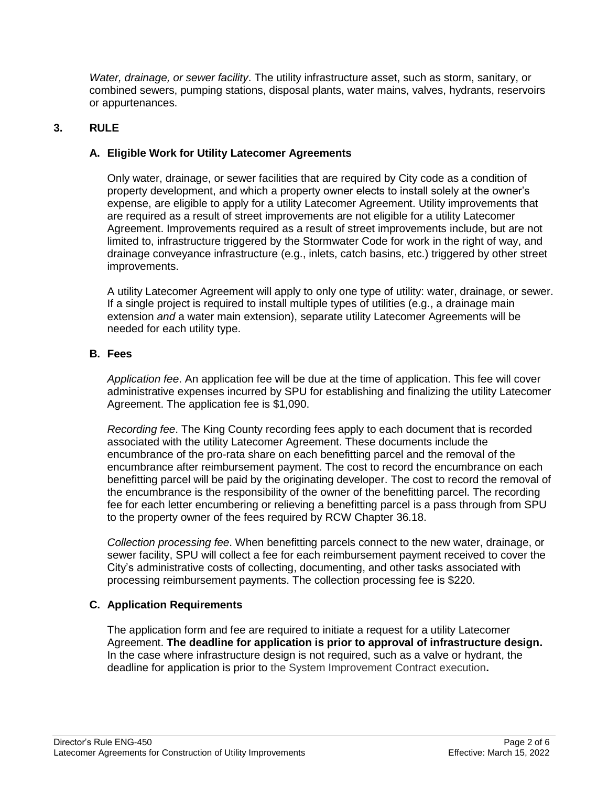*Water, drainage, or sewer facility*. The utility infrastructure asset, such as storm, sanitary, or combined sewers, pumping stations, disposal plants, water mains, valves, hydrants, reservoirs or appurtenances.

## **3. RULE**

## **A. Eligible Work for Utility Latecomer Agreements**

Only water, drainage, or sewer facilities that are required by City code as a condition of property development, and which a property owner elects to install solely at the owner's expense, are eligible to apply for a utility Latecomer Agreement. Utility improvements that are required as a result of street improvements are not eligible for a utility Latecomer Agreement. Improvements required as a result of street improvements include, but are not limited to, infrastructure triggered by the Stormwater Code for work in the right of way, and drainage conveyance infrastructure (e.g., inlets, catch basins, etc.) triggered by other street improvements.

A utility Latecomer Agreement will apply to only one type of utility: water, drainage, or sewer. If a single project is required to install multiple types of utilities (e.g., a drainage main extension *and* a water main extension), separate utility Latecomer Agreements will be needed for each utility type.

#### **B. Fees**

*Application fee*. An application fee will be due at the time of application. This fee will cover administrative expenses incurred by SPU for establishing and finalizing the utility Latecomer Agreement. The application fee is \$1,090.

*Recording fee*. The King County recording fees apply to each document that is recorded associated with the utility Latecomer Agreement. These documents include the encumbrance of the pro-rata share on each benefitting parcel and the removal of the encumbrance after reimbursement payment. The cost to record the encumbrance on each benefitting parcel will be paid by the originating developer. The cost to record the removal of the encumbrance is the responsibility of the owner of the benefitting parcel. The recording fee for each letter encumbering or relieving a benefitting parcel is a pass through from SPU to the property owner of the fees required by RCW Chapter 36.18.

*Collection processing fee*. When benefitting parcels connect to the new water, drainage, or sewer facility, SPU will collect a fee for each reimbursement payment received to cover the City's administrative costs of collecting, documenting, and other tasks associated with processing reimbursement payments. The collection processing fee is \$220.

#### **C. Application Requirements**

The application form and fee are required to initiate a request for a utility Latecomer Agreement. **The deadline for application is prior to approval of infrastructure design.**  In the case where infrastructure design is not required, such as a valve or hydrant, the deadline for application is prior to the System Improvement Contract execution**.**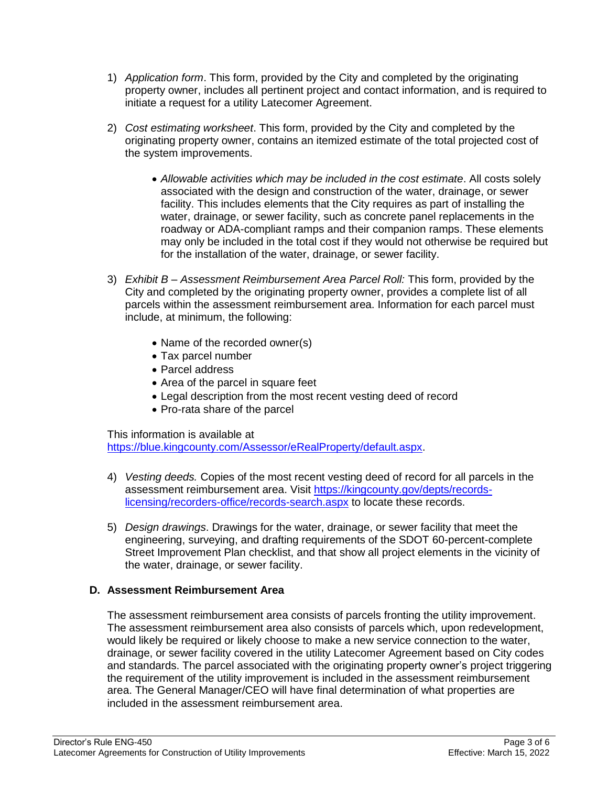- 1) *Application form*. This form, provided by the City and completed by the originating property owner, includes all pertinent project and contact information, and is required to initiate a request for a utility Latecomer Agreement.
- 2) *Cost estimating worksheet*. This form, provided by the City and completed by the originating property owner, contains an itemized estimate of the total projected cost of the system improvements.
	- *Allowable activities which may be included in the cost estimate*. All costs solely associated with the design and construction of the water, drainage, or sewer facility. This includes elements that the City requires as part of installing the water, drainage, or sewer facility, such as concrete panel replacements in the roadway or ADA-compliant ramps and their companion ramps. These elements may only be included in the total cost if they would not otherwise be required but for the installation of the water, drainage, or sewer facility.
- 3) *Exhibit B – Assessment Reimbursement Area Parcel Roll:* This form, provided by the City and completed by the originating property owner, provides a complete list of all parcels within the assessment reimbursement area. Information for each parcel must include, at minimum, the following:
	- Name of the recorded owner(s)
	- Tax parcel number
	- Parcel address
	- Area of the parcel in square feet
	- Legal description from the most recent vesting deed of record
	- Pro-rata share of the parcel

This information is available at

https://blue.kingcounty.com/Assessor/eRealProperty/default.aspx.

- 4) *Vesting deeds.* Copies of the most recent vesting deed of record for all parcels in the assessment reimbursement area. Visit https://kingcounty.gov/depts/recordslicensing/recorders-office/records-search.aspx to locate these records.
- 5) *Design drawings*. Drawings for the water, drainage, or sewer facility that meet the engineering, surveying, and drafting requirements of the SDOT 60-percent-complete Street Improvement Plan checklist, and that show all project elements in the vicinity of the water, drainage, or sewer facility.

#### **D. Assessment Reimbursement Area**

The assessment reimbursement area consists of parcels fronting the utility improvement. The assessment reimbursement area also consists of parcels which, upon redevelopment, would likely be required or likely choose to make a new service connection to the water, drainage, or sewer facility covered in the utility Latecomer Agreement based on City codes and standards. The parcel associated with the originating property owner's project triggering the requirement of the utility improvement is included in the assessment reimbursement area. The General Manager/CEO will have final determination of what properties are included in the assessment reimbursement area.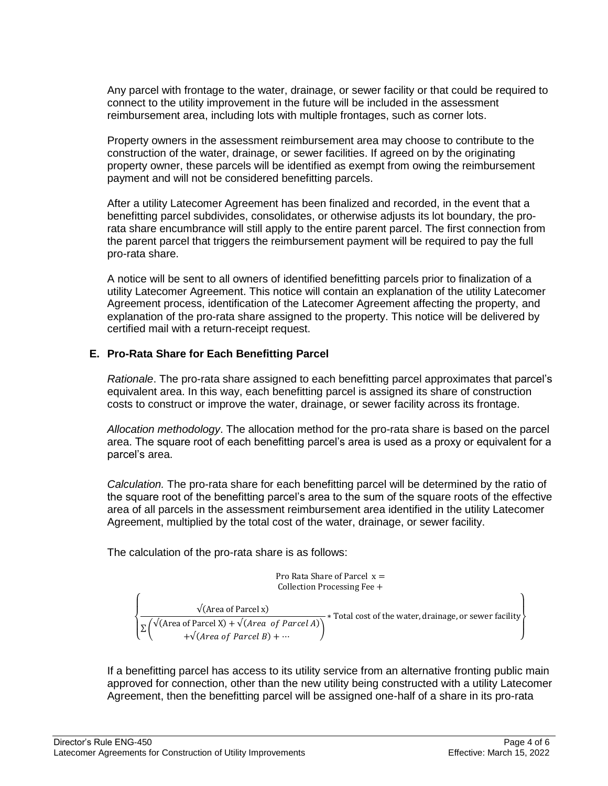Any parcel with frontage to the water, drainage, or sewer facility or that could be required to connect to the utility improvement in the future will be included in the assessment reimbursement area, including lots with multiple frontages, such as corner lots.

Property owners in the assessment reimbursement area may choose to contribute to the construction of the water, drainage, or sewer facilities. If agreed on by the originating property owner, these parcels will be identified as exempt from owing the reimbursement payment and will not be considered benefitting parcels.

After a utility Latecomer Agreement has been finalized and recorded, in the event that a benefitting parcel subdivides, consolidates, or otherwise adjusts its lot boundary, the prorata share encumbrance will still apply to the entire parent parcel. The first connection from the parent parcel that triggers the reimbursement payment will be required to pay the full pro-rata share.

A notice will be sent to all owners of identified benefitting parcels prior to finalization of a utility Latecomer Agreement. This notice will contain an explanation of the utility Latecomer Agreement process, identification of the Latecomer Agreement affecting the property, and explanation of the pro-rata share assigned to the property. This notice will be delivered by certified mail with a return-receipt request.

# **E. Pro-Rata Share for Each Benefitting Parcel**

*Rationale*. The pro-rata share assigned to each benefitting parcel approximates that parcel's equivalent area. In this way, each benefitting parcel is assigned its share of construction costs to construct or improve the water, drainage, or sewer facility across its frontage.

*Allocation methodology*. The allocation method for the pro-rata share is based on the parcel area. The square root of each benefitting parcel's area is used as a proxy or equivalent for a parcel's area.

*Calculation.* The pro-rata share for each benefitting parcel will be determined by the ratio of the square root of the benefitting parcel's area to the sum of the square roots of the effective area of all parcels in the assessment reimbursement area identified in the utility Latecomer Agreement, multiplied by the total cost of the water, drainage, or sewer facility.

The calculation of the pro-rata share is as follows:

Pro Rata Share of Parcel 
$$
x =
$$
  
\nCollection Processing Free +  
\n
$$
\sqrt{\text{(Area of Parcel x)}} + \sqrt{\text{(Area of Parcel x)} + \sqrt{\text{(Area of Parcel A)}}} \times \text{Total cost of the water, drainage, or severe facility} + \sqrt{\text{(Area of Parcel B)} + \cdots}
$$

If a benefitting parcel has access to its utility service from an alternative fronting public main approved for connection, other than the new utility being constructed with a utility Latecomer Agreement, then the benefitting parcel will be assigned one-half of a share in its pro-rata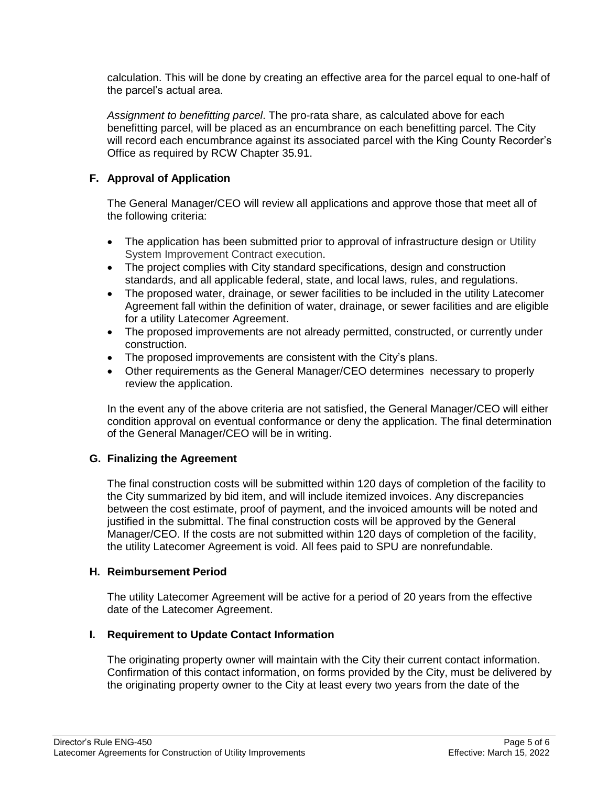calculation. This will be done by creating an effective area for the parcel equal to one-half of the parcel's actual area.

*Assignment to benefitting parcel*. The pro-rata share, as calculated above for each benefitting parcel, will be placed as an encumbrance on each benefitting parcel. The City will record each encumbrance against its associated parcel with the King County Recorder's Office as required by RCW Chapter 35.91.

# **F. Approval of Application**

The General Manager/CEO will review all applications and approve those that meet all of the following criteria:

- The application has been submitted prior to approval of infrastructure design or Utility System Improvement Contract execution.
- The project complies with City standard specifications, design and construction standards, and all applicable federal, state, and local laws, rules, and regulations.
- The proposed water, drainage, or sewer facilities to be included in the utility Latecomer Agreement fall within the definition of water, drainage, or sewer facilities and are eligible for a utility Latecomer Agreement.
- The proposed improvements are not already permitted, constructed, or currently under construction.
- The proposed improvements are consistent with the City's plans.
- Other requirements as the General Manager/CEO determines necessary to properly review the application.

In the event any of the above criteria are not satisfied, the General Manager/CEO will either condition approval on eventual conformance or deny the application. The final determination of the General Manager/CEO will be in writing.

# **G. Finalizing the Agreement**

The final construction costs will be submitted within 120 days of completion of the facility to the City summarized by bid item, and will include itemized invoices. Any discrepancies between the cost estimate, proof of payment, and the invoiced amounts will be noted and justified in the submittal. The final construction costs will be approved by the General Manager/CEO. If the costs are not submitted within 120 days of completion of the facility, the utility Latecomer Agreement is void. All fees paid to SPU are nonrefundable.

# **H. Reimbursement Period**

The utility Latecomer Agreement will be active for a period of 20 years from the effective date of the Latecomer Agreement.

# **I. Requirement to Update Contact Information**

The originating property owner will maintain with the City their current contact information. Confirmation of this contact information, on forms provided by the City, must be delivered by the originating property owner to the City at least every two years from the date of the